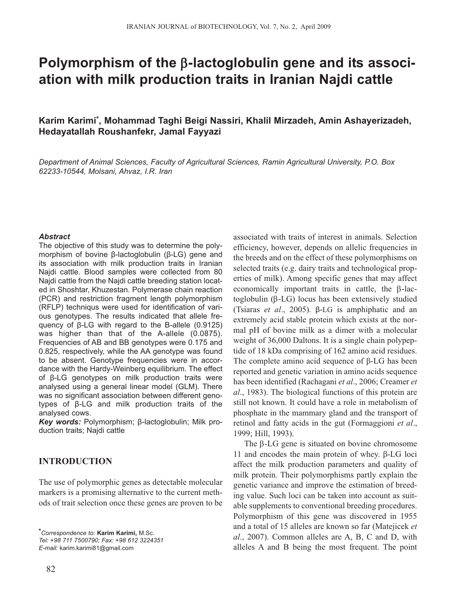# **Polymorphism of the** β**-lactoglobulin gene and its association with milk production traits in Iranian Najdi cattle**

**Karim Karimi\*, Mohammad Taghi Beigi Nassiri, Khalil Mirzadeh, Amin Ashayerizadeh, Hedayatallah Roushanfekr, Jamal Fayyazi**

*Department of Animal Sciences, Faculty of Agricultural Sciences, Ramin Agricultural University, P.O. Box 62233-10544, Molsani, Ahvaz, I.R. Iran*

#### *Abstract*

The objective of this study was to determine the polymorphism of bovine β-lactoglobulin (β-LG) gene and its association with milk production traits in Iranian Najdi cattle. Blood samples were collected from 80 Najdi cattle from the Najdi cattle breeding station located in Shoshtar, Khuzestan. Polymerase chain reaction (PCR) and restriction fragment length polymorphism (RFLP) techniqus were used for identification of various genotypes. The results indicated that allele frequency of β-LG with regard to the B-allele (0.9125) was higher than that of the A-allele (0.0875). Frequencies of AB and BB genotypes were 0.175 and 0.825, respectively, while the AA genotype was found to be absent. Genotype frequencies were in accordance with the Hardy-Weinberg equilibrium. The effect of β-LG genotypes on milk production traits were analysed using a general linear model (GLM). There was no significant association between different genotypes of β-LG and milk production traits of the analysed cows.

*Key words:* Polymorphism; β-lactoglobulin; Milk production traits; Najdi cattle

# **INTRODUCTION**

The use of polymorphic genes as detectable molecular markers is a promising alternative to the current methods of trait selection once these genes are proven to be

*\*Correspondence to:* **Karim Karimi,** M.Sc. *Tel: +98 711 7500790; Fax: +98 612 3224351 E-mail:* karim.karimi81@gmail.com

associated with traits of interest in animals. Selection efficiency, however, depends on allelic frequencies in the breeds and on the effect of these polymorphisms on selected traits (e.g. dairy traits and technological properties of milk). Among specific genes that may affect economically important traits in cattle, the β-lactoglobulin (β-LG) locus has been extensively studied (Tsiaras *et al*., 2005). β-LG is amphiphatic and an extremely acid stable protein which exists at the normal pH of bovine milk as a dimer with a molecular weight of 36,000 Daltons. It is a single chain polypeptide of 18 kDa comprising of 162 amino acid residues. The complete amino acid sequence of β-LG has been reported and genetic variation in amino acids sequence has been identified (Rachagani *et al*., 2006; Creamer *et al*., 1983). The biological functions of this protein are still not known. It could have a role in metabolism of phosphate in the mammary gland and the transport of retinol and fatty acids in the gut (Formaggioni *et al*., 1999; Hill, 1993).

The β-LG gene is situated on bovine chromosome 11 and encodes the main protein of whey. β-LG loci affect the milk production parameters and quality of milk protein. Their polymorphisms partly explain the genetic variance and improve the estimation of breeding value. Such loci can be taken into account as suitable supplements to conventional breeding procedures. Polymorphism of this gene was discovered in 1955 and a total of 15 alleles are known so far (Matejicek *et al*., 2007). Common alleles are A, B, C and D, with alleles A and B being the most frequent. The point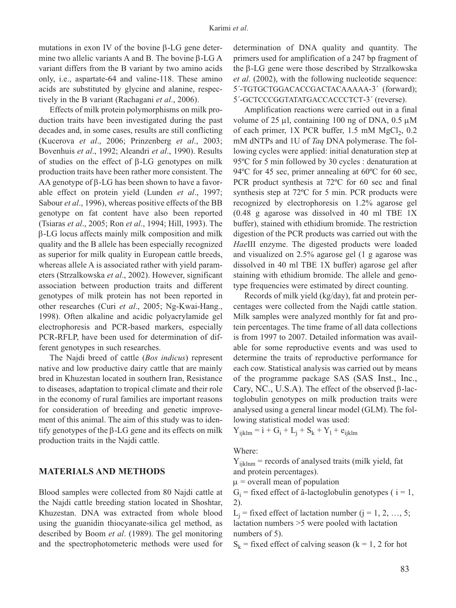mutations in exon IV of the bovine β-LG gene determine two allelic variants A and B. The bovine β-LG A variant differs from the B variant by two amino acids only, i.e., aspartate-64 and valine-118. These amino acids are substituted by glycine and alanine, respectively in the B variant (Rachagani *et al*., 2006).

Effects of milk protein polymorphisms on milk production traits have been investigated during the past decades and, in some cases, results are still conflicting (Kucerova *et al*., 2006; Prinzenberg *et al*., 2003; Bovenhuis *et al*., 1992; Aleandri *et al*., 1990). Results of studies on the effect of β-LG genotypes on milk production traits have been rather more consistent. The AA genotype of β-LG has been shown to have a favorable effect on protein yield (Lunden *et al*., 1997; Sabour *et al*., 1996), whereas positive effects of the BB genotype on fat content have also been reported (Tsiaras *et al*., 2005; Ron *et al*., 1994; Hill, 1993). The β-LG locus affects mainly milk composition and milk quality and the B allele has been especially recognized as superior for milk quality in European cattle breeds, whereas allele A is associated rather with yield parameters (Strzalkowska *et al*., 2002). However, significant association between production traits and different genotypes of milk protein has not been reported in other researches (Curi *et al*., 2005; Ng-Kwai-Hang., 1998). Often alkaline and acidic polyacrylamide gel electrophoresis and PCR-based markers, especially PCR-RFLP, have been used for determination of different genotypes in such researches.

The Najdi breed of cattle (*Bos indicus*) represent native and low productive dairy cattle that are mainly bred in Khuzestan located in southern Iran, Resistance to diseases, adaptation to tropical climate and their role in the economy of rural families are important reasons for consideration of breeding and genetic improvement of this animal. The aim of this study was to identify genotypes of the  $\beta$ -LG gene and its effects on milk production traits in the Najdi cattle.

### **MATERIALS AND METHODS**

Blood samples were collected from 80 Najdi cattle at the Najdi cattle breeding station located in Shoshtar, Khuzestan. DNA was extracted from whole blood using the guanidin thiocyanate-silica gel method, as described by Boom *et al*. (1989). The gel monitoring and the spectrophotometeric methods were used for determination of DNA quality and quantity. The primers used for amplification of a 247 bp fragment of the β-LG gene were those described by Strzalkowska *et al*. (2002), with the following nucleotide sequence: 5´-TGTGCTGGACACCGACTACAAAAA-3´ (forward); 5´-GCTCCCGGTATATGACCACCCTCT-3´ (reverse).

Amplification reactions were carried out in a final volume of 25  $\mu$ l, containing 100 ng of DNA, 0.5  $\mu$ M of each primer,  $1X$  PCR buffer,  $1.5$  mM MgCl<sub>2</sub>,  $0.2$ mM dNTPs and 1U of *Taq* DNA polymerase. The following cycles were applied: initial denaturation step at 95ºC for 5 min followed by 30 cycles : denaturation at 94ºC for 45 sec, primer annealing at 60ºC for 60 sec, PCR product synthesis at 72ºC for 60 sec and final synthesis step at 72ºC for 5 min. PCR products were recognized by electrophoresis on 1.2% agarose gel (0.48 g agarose was dissolved in 40 ml TBE 1X buffer), stained with ethidium bromide. The restriction digestion of the PCR products was carried out with the *Hae*III enzyme. The digested products were loaded and visualized on 2.5% agarose gel (1 g agarose was dissolved in 40 ml TBE 1X buffer) agarose gel after staining with ethidium bromide. The allele and genotype frequencies were estimated by direct counting.

Records of milk yield (kg/day), fat and protein percentages were collected from the Najdi cattle station. Milk samples were analyzed monthly for fat and protein percentages. The time frame of all data collections is from 1997 to 2007. Detailed information was available for some reproductive events and was used to determine the traits of reproductive performance for each cow. Statistical analysis was carried out by means of the programme package SAS (SAS Inst., Inc., Cary, NC., U.S.A). The effect of the observed β-lactoglobulin genotypes on milk production traits were analysed using a general linear model (GLM). The following statistical model was used:

 $Y_{iiklm} = i + G_i + L_i + S_k + Y_l + e_{iiklm}$ 

Where:

 $Y_{iiklm}$  = records of analysed traits (milk yield, fat and protein percentages).

 $\mu$  = overall mean of population

 $G_i$  = fixed effect of â-lactoglobulin genotypes ( $i = 1$ , 2).

 $L_i$  = fixed effect of lactation number (j = 1, 2, …, 5; lactation numbers >5 were pooled with lactation numbers of 5).

 $S_k$  = fixed effect of calving season (k = 1, 2 for hot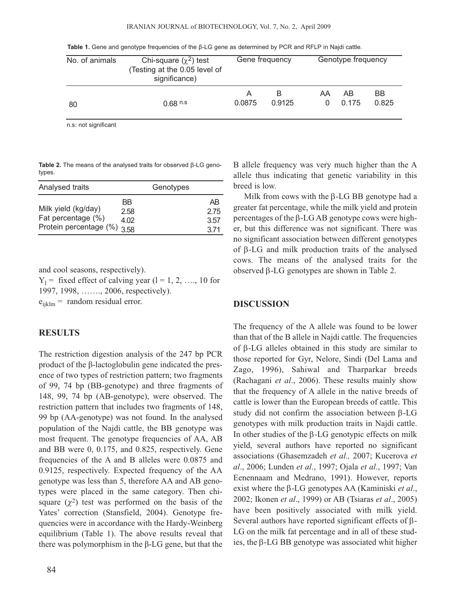|  |  |  |  |  |  |  | Table 1. Gene and genotype frequencies of the $\beta$ -LG gene as determined by PCR and RFLP in Najdi cattle. |  |
|--|--|--|--|--|--|--|---------------------------------------------------------------------------------------------------------------|--|
|--|--|--|--|--|--|--|---------------------------------------------------------------------------------------------------------------|--|

| No. of animals | Chi-square $(\chi^2)$ test<br>(Testing at the 0.05 level of<br>significance) | Gene frequency |             | Genotype frequency |             |             |
|----------------|------------------------------------------------------------------------------|----------------|-------------|--------------------|-------------|-------------|
| 80             | $0.68$ n.s.                                                                  | A<br>0.0875    | В<br>0.9125 | AA<br>$\Omega$     | AB<br>0.175 | ВB<br>0.825 |

n.s: not significant

**Table 2.** The means of the analysed traits for observed β-LG genotypes.

| Analysed traits                                                             |                    | Genotypes |                           |
|-----------------------------------------------------------------------------|--------------------|-----------|---------------------------|
| Milk yield (kg/day)<br>Fat percentage (%)<br>Protein percentage $(\%)$ 3.58 | BB<br>2.58<br>4.02 |           | AB<br>2.75<br>3.57<br>371 |

and cool seasons, respectively).

 $Y_1$  = fixed effect of calving year (1 = 1, 2, ..., 10 for 1997, 1998, ……., 2006, respectively).

 $e_{ijklm}$  = random residual error.

# **RESULTS**

The restriction digestion analysis of the 247 bp PCR product of the β-lactoglobulin gene indicated the presence of two types of restriction pattern; two fragments of 99, 74 bp (BB-genotype) and three fragments of 148, 99, 74 bp (AB-genotype), were observed. The restriction pattern that includes two fragments of 148, 99 bp (AA-genotype) was not found. In the analysed population of the Najdi cattle, the BB genotype was most frequent. The genotype frequencies of AA, AB and BB were 0, 0.175, and 0.825, respectively. Gene frequencies of the A and B alleles were 0.0875 and 0.9125, respectively. Expected frequency of the AA genotype was less than 5, therefore AA and AB genotypes were placed in the same category. Then chisquare  $(\chi^2)$  test was performed on the basis of the Yates' correction (Stansfield, 2004). Genotype frequencies were in accordance with the Hardy-Weinberg equilibrium (Table 1). The above results reveal that there was polymorphism in the β-LG gene, but that the

B allele frequency was very much higher than the A allele thus indicating that genetic variability in this breed is low.

Milk from cows with the β-LG BB genotype had a greater fat percentage, while the milk yield and protein percentages of the β-LG AB genotype cows were higher, but this difference was not significant. There was no significant association between different genotypes of β-LG and milk production traits of the analysed cows. The means of the analysed traits for the observed β-LG genotypes are shown in Table 2.

#### **DISCUSSION**

The frequency of the A allele was found to be lower than that of the B allele in Najdi cattle. The frequencies of β-LG alleles obtained in this study are similar to those reported for Gyr, Nelore, Sindi (Del Lama and Zago, 1996), Sahiwal and Tharparkar breeds (Rachagani *et al*., 2006). These results mainly show that the frequency of A allele in the native breeds of cattle is lower than the European breeds of cattle. This study did not confirm the association between β-LG genotypes with milk production traits in Najdi cattle. In other studies of the β-LG genotypic effects on milk yield, several authors have reported no significant associations (Ghasemzadeh *et al.,* 2007; Kucerova *et al*., 2006; Lunden *et al*., 1997; Ojala *et al*., 1997; Van Eenennaam and Medrano, 1991). However, reports exist where the β-LG genotypes AA (Kaminiski *et al*., 2002; Ikonen *et al*., 1999) or AB (Tsiaras *et al*., 2005) have been positively associated with milk yield. Several authors have reported significant effects of β-LG on the milk fat percentage and in all of these studies, the β-LG BB genotype was associated whit higher